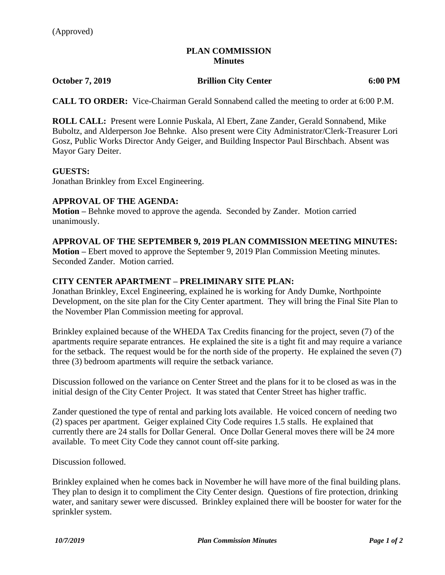## **PLAN COMMISSION Minutes**

**October 7, 2019 Brillion City Center 6:00 PM**

**CALL TO ORDER:** Vice-Chairman Gerald Sonnabend called the meeting to order at 6:00 P.M.

**ROLL CALL:** Present were Lonnie Puskala, Al Ebert, Zane Zander, Gerald Sonnabend, Mike Buboltz, and Alderperson Joe Behnke. Also present were City Administrator/Clerk-Treasurer Lori Gosz, Public Works Director Andy Geiger, and Building Inspector Paul Birschbach. Absent was Mayor Gary Deiter.

### **GUESTS:**

Jonathan Brinkley from Excel Engineering.

## **APPROVAL OF THE AGENDA:**

**Motion –** Behnke moved to approve the agenda. Seconded by Zander. Motion carried unanimously.

### **APPROVAL OF THE SEPTEMBER 9, 2019 PLAN COMMISSION MEETING MINUTES:**

**Motion –** Ebert moved to approve the September 9, 2019 Plan Commission Meeting minutes. Seconded Zander. Motion carried.

### **CITY CENTER APARTMENT – PRELIMINARY SITE PLAN:**

Jonathan Brinkley, Excel Engineering, explained he is working for Andy Dumke, Northpointe Development, on the site plan for the City Center apartment. They will bring the Final Site Plan to the November Plan Commission meeting for approval.

Brinkley explained because of the WHEDA Tax Credits financing for the project, seven (7) of the apartments require separate entrances. He explained the site is a tight fit and may require a variance for the setback. The request would be for the north side of the property. He explained the seven (7) three (3) bedroom apartments will require the setback variance.

Discussion followed on the variance on Center Street and the plans for it to be closed as was in the initial design of the City Center Project. It was stated that Center Street has higher traffic.

Zander questioned the type of rental and parking lots available. He voiced concern of needing two (2) spaces per apartment. Geiger explained City Code requires 1.5 stalls. He explained that currently there are 24 stalls for Dollar General. Once Dollar General moves there will be 24 more available. To meet City Code they cannot count off-site parking.

Discussion followed.

Brinkley explained when he comes back in November he will have more of the final building plans. They plan to design it to compliment the City Center design. Questions of fire protection, drinking water, and sanitary sewer were discussed. Brinkley explained there will be booster for water for the sprinkler system.